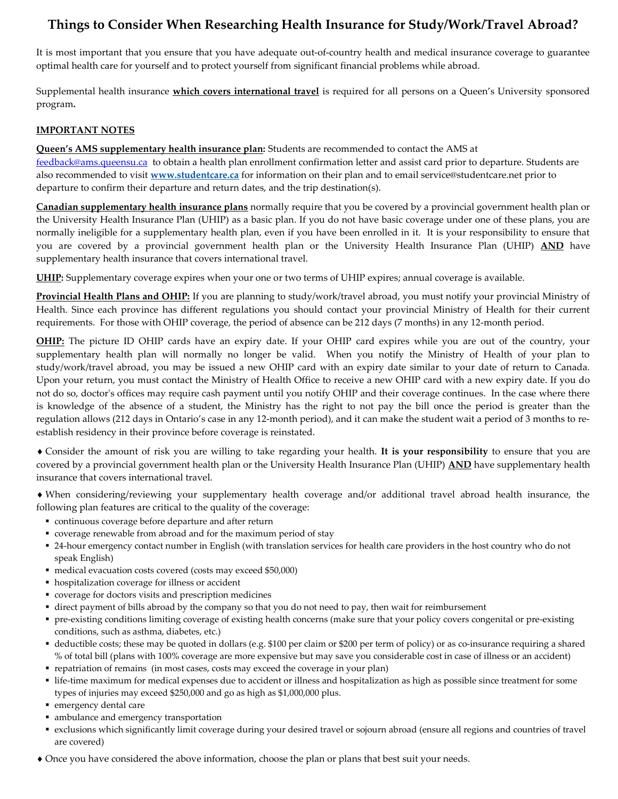# Things to Consider When Researching Health Insurance for Study/Work/Travel Abroad?

It is most important that you ensure that you have adequate out-of-country health and medical insurance coverage to guarantee optimal health care for yourself and to protect yourself from significant financial problems while abroad.

Supplemental health insurance which covers international travel is required for all persons on a Queen's University sponsored program.

#### IMPORTANT NOTES

**Queen's AMS supplementary health insurance plan:** Students are recommended to contact the AMS at feedback@ams.queensu.ca to obtain a health plan enrollment confirmation letter and assist card prior to departure. Students are also recommended to visit www.studentcare.ca for information on their plan and to email service@studentcare.net prior to departure to confirm their departure and return dates, and the trip destination(s).

Canadian supplementary health insurance plans normally require that you be covered by a provincial government health plan or the University Health Insurance Plan (UHIP) as a basic plan. If you do not have basic coverage under one of these plans, you are normally ineligible for a supplementary health plan, even if you have been enrolled in it. It is your responsibility to ensure that you are covered by a provincial government health plan or the University Health Insurance Plan (UHIP) AND have supplementary health insurance that covers international travel.

UHIP: Supplementary coverage expires when your one or two terms of UHIP expires; annual coverage is available.

Provincial Health Plans and OHIP: If you are planning to study/work/travel abroad, you must notify your provincial Ministry of Health. Since each province has different regulations you should contact your provincial Ministry of Health for their current requirements. For those with OHIP coverage, the period of absence can be 212 days (7 months) in any 12-month period.

OHIP: The picture ID OHIP cards have an expiry date. If your OHIP card expires while you are out of the country, your supplementary health plan will normally no longer be valid. When you notify the Ministry of Health of your plan to study/work/travel abroad, you may be issued a new OHIP card with an expiry date similar to your date of return to Canada. Upon your return, you must contact the Ministry of Health Office to receive a new OHIP card with a new expiry date. If you do not do so, doctor's offices may require cash payment until you notify OHIP and their coverage continues. In the case where there is knowledge of the absence of a student, the Ministry has the right to not pay the bill once the period is greater than the regulation allows (212 days in Ontario's case in any 12-month period), and it can make the student wait a period of 3 months to reestablish residency in their province before coverage is reinstated.

• Consider the amount of risk you are willing to take regarding your health. It is your responsibility to ensure that you are covered by a provincial government health plan or the University Health Insurance Plan (UHIP) AND have supplementary health insurance that covers international travel.

 When considering/reviewing your supplementary health coverage and/or additional travel abroad health insurance, the following plan features are critical to the quality of the coverage:

- continuous coverage before departure and after return
- coverage renewable from abroad and for the maximum period of stay
- 24-hour emergency contact number in English (with translation services for health care providers in the host country who do not speak English)
- medical evacuation costs covered (costs may exceed \$50,000)
- hospitalization coverage for illness or accident
- coverage for doctors visits and prescription medicines
- direct payment of bills abroad by the company so that you do not need to pay, then wait for reimbursement
- pre-existing conditions limiting coverage of existing health concerns (make sure that your policy covers congenital or pre-existing conditions, such as asthma, diabetes, etc.)
- deductible costs; these may be quoted in dollars (e.g. \$100 per claim or \$200 per term of policy) or as co-insurance requiring a shared % of total bill (plans with 100% coverage are more expensive but may save you considerable cost in case of illness or an accident)
- repatriation of remains (in most cases, costs may exceed the coverage in your plan)
- life-time maximum for medical expenses due to accident or illness and hospitalization as high as possible since treatment for some types of injuries may exceed \$250,000 and go as high as \$1,000,000 plus.
- emergency dental care
- ambulance and emergency transportation
- exclusions which significantly limit coverage during your desired travel or sojourn abroad (ensure all regions and countries of travel are covered)
- Once you have considered the above information, choose the plan or plans that best suit your needs.